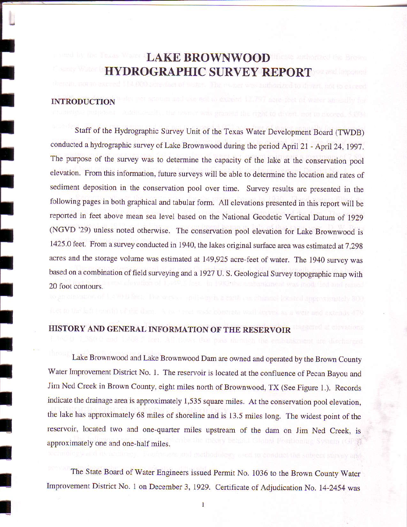# LAKE BROWNWOOD HYDROGRAPHIC SURVEY REPORT

#### INTRODUCTION

I

I

I

I

I

Staff of the Hydrographic Suryey Unir of the Texas Water Development Board (TWDB) conducted a hydrographic survey of Lake Brownwood during the period April 21 - April 24, 1997. The purpose of the survey was to determine the capacity of the lake at the conseryation pool elevation. From this information, future surveys will be able to determine the location and rates of sediment deposition in the conseryation pool over time. Survey results are presented in the following pages in both graphical and tabular form. All elevations presented in this report will be reported in feet above mean sea level based on the National Geodetic Verrical Datum of 1929 (NGVD'29) unless noted otherwise. The conseryation pool eleyation for Lake Brownwood is 1425.0 feet, From a survey conducted in 1940, the lakes original surface area was estimated at 7,29g acres and the storage volume was estimated at 149,925 acre-feet of water. The 1940 survey was based on a combination of field surveying and a 1927 U.S. Geological Survey topographic map with 20 foot contours.

## HISTORY AND GENERAL INFORMATION OF THE RESERVOIR

Lake Brownwood and Lake Brownwood Dam are owned and operated by the Brown County Water Improvement District No. 1. The reservoir is located at the confluence of Pecan Bayou and Jim Ned Creek in Brown County, eight miles north of Brownwood, TX (See Figure 1.). Records indicate the drainage area is approximately 1,535 square miles. At the conservation pool elevation, the lake has approximately 68 miles of shoreline and is 13.5 miles long. The widest point of the reservoir, located two and one-quarter miles upstream of the dam on Jim Ned Creek, is approximately one and one-half miles.

The State Board of Water Engineers issued Permit No. 1036 to the Brown County Water Improvement District No. 1 on December 3, 1929. Cerrificate of Adjudicarion No. 14-2454 was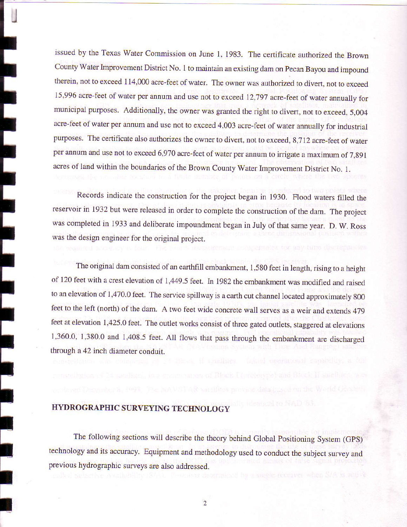issued by the Texas water commission on June 1, 1993. The certificate authorized the Brown County Water Inprovement District No. I to maintain an existing dam on pecan Bayou and impound therein, not to exceed 114,000 acre-feet of water. The owner was authorized to divert, not to exceed 15,996 acre-feet of water per annum and use not to exceed 12,797 acre\_feet of water annually for municipal purposes. Additionally, the owner was granted the right to divert, not to exceed, 5,004 acre-feet of water per annum and use not to exceed 4,003 acre-feet of water annually for industrial purposes. The certificate also authorizes the owner to divert, not to exceed, 8,712 acre-feet of water per annum and use not to exceed 6,970 acre-feet of water per annum to irrigate a maximum of 7,891 acres of land within the boundaries of the Brown County Water Improvement District No. l.

Records indicate the construction for the project began in 1930. Flood waters filled the reservoir in 1932 but were released in order to complete the construction of the dam. The project was completed in 1933 and deliberate impoundment began in July of that same year. D. W. Ross was the design engineer for the original project.

The original dam consisted of an earthfill embankment, 1,580 feet in length, rising to a height of 120 feet with a cresr elevation of I,449.5 feet. In 1982 the embankment was modified and raised to an elevation of 1,470.0 feet. The service spillway is a earth cut channel located approximately 800 feet to the left (north) of the dam. A two feet wide concrete wall serves as a weir and extends 479 feet at elevation 1,425.0 feet. The outlet works consist of three gated outiets, staggered at elevations 1,360.0, 1,380.0 and 1,408.5 feet. All flows that pass through the embankment are discharged through a 42 inch diameter conduit.

### HYDROGRAPHIC SURVEYING TECHNOLOGY

r

F

l.F

t

IrI

lrI

T

I

I

I

I

I

I

I

The following sections will describe the theory behind Global Positioning System (GPS) technology and its accuracy. Equipment and methodology used to conduct the subject survey and previous hydrographic surveys are also addressed.

 $\overline{2}$